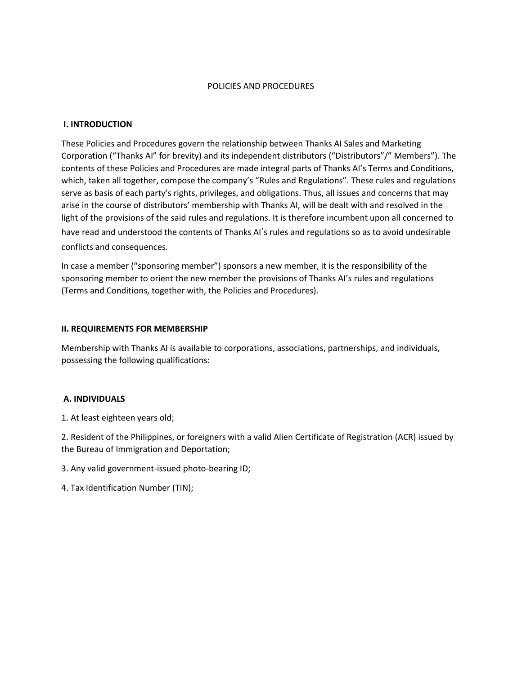### POLICIES AND PROCEDURES

### **I. INTRODUCTION**

These Policies and Procedures govern the relationship between Thanks AI Sales and Marketing Corporation ("Thanks AI" for brevity) and its independent distributors ("Distributors"/" Members"). The contents of these Policies and Procedures are made integral parts of Thanks AI's Terms and Conditions, which, taken all together, compose the company's "Rules and Regulations". These rules and regulations serve as basis of each party's rights, privileges, and obligations. Thus, all issues and concerns that may arise in the course of distributors' membership with Thanks AI, will be dealt with and resolved in the light of the provisions of the said rules and regulations. It is therefore incumbent upon all concerned to have read and understood the contents of Thanks AI's rules and regulations so as to avoid undesirable conflicts and consequences.

In case a member ("sponsoring member") sponsors a new member, it is the responsibility of the sponsoring member to orient the new member the provisions of Thanks AI's rules and regulations (Terms and Conditions, together with, the Policies and Procedures).

#### **II. REQUIREMENTS FOR MEMBERSHIP**

Membership with Thanks AI is available to corporations, associations, partnerships, and individuals, possessing the following qualifications:

### **A. INDIVIDUALS**

1. At least eighteen years old;

2. Resident of the Philippines, or foreigners with a valid Alien Certificate of Registration (ACR) issued by the Bureau of Immigration and Deportation;

- 3. Any valid government-issued photo-bearing ID;
- 4. Tax Identification Number (TIN);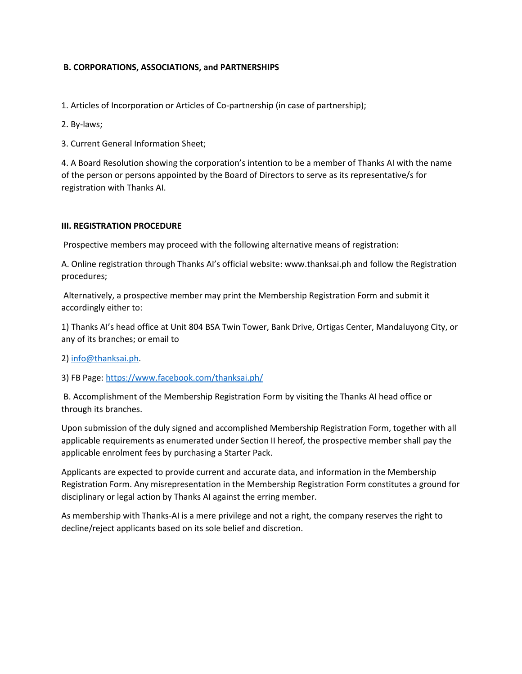## **B. CORPORATIONS, ASSOCIATIONS, and PARTNERSHIPS**

1. Articles of Incorporation or Articles of Co-partnership (in case of partnership);

2. By-laws;

3. Current General Information Sheet;

4. A Board Resolution showing the corporation's intention to be a member of Thanks AI with the name of the person or persons appointed by the Board of Directors to serve as its representative/s for registration with Thanks AI.

### **III. REGISTRATION PROCEDURE**

Prospective members may proceed with the following alternative means of registration:

A. Online registration through Thanks AI's official website: www.thanksai.ph and follow the Registration procedures;

Alternatively, a prospective member may print the Membership Registration Form and submit it accordingly either to:

1) Thanks AI's head office at Unit 804 BSA Twin Tower, Bank Drive, Ortigas Center, Mandaluyong City, or any of its branches; or email to

2) [info@thanksai.ph.](mailto:info@thanksai.ph)

3) FB Page:<https://www.facebook.com/thanksai.ph/>

B. Accomplishment of the Membership Registration Form by visiting the Thanks AI head office or through its branches.

Upon submission of the duly signed and accomplished Membership Registration Form, together with all applicable requirements as enumerated under Section II hereof, the prospective member shall pay the applicable enrolment fees by purchasing a Starter Pack.

Applicants are expected to provide current and accurate data, and information in the Membership Registration Form. Any misrepresentation in the Membership Registration Form constitutes a ground for disciplinary or legal action by Thanks AI against the erring member.

As membership with Thanks-AI is a mere privilege and not a right, the company reserves the right to decline/reject applicants based on its sole belief and discretion.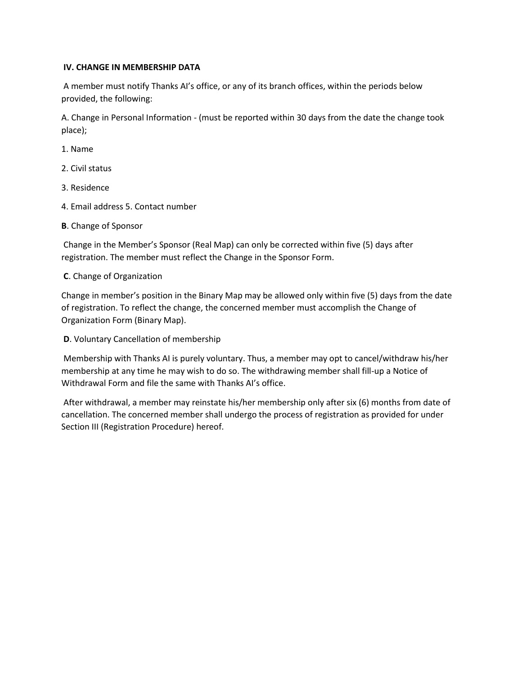## **IV. CHANGE IN MEMBERSHIP DATA**

A member must notify Thanks AI's office, or any of its branch offices, within the periods below provided, the following:

A. Change in Personal Information - (must be reported within 30 days from the date the change took place);

1. Name

- 2. Civil status
- 3. Residence
- 4. Email address 5. Contact number
- **B**. Change of Sponsor

Change in the Member's Sponsor (Real Map) can only be corrected within five (5) days after registration. The member must reflect the Change in the Sponsor Form.

## **C**. Change of Organization

Change in member's position in the Binary Map may be allowed only within five (5) days from the date of registration. To reflect the change, the concerned member must accomplish the Change of Organization Form (Binary Map).

**D**. Voluntary Cancellation of membership

Membership with Thanks AI is purely voluntary. Thus, a member may opt to cancel/withdraw his/her membership at any time he may wish to do so. The withdrawing member shall fill-up a Notice of Withdrawal Form and file the same with Thanks AI's office.

After withdrawal, a member may reinstate his/her membership only after six (6) months from date of cancellation. The concerned member shall undergo the process of registration as provided for under Section III (Registration Procedure) hereof.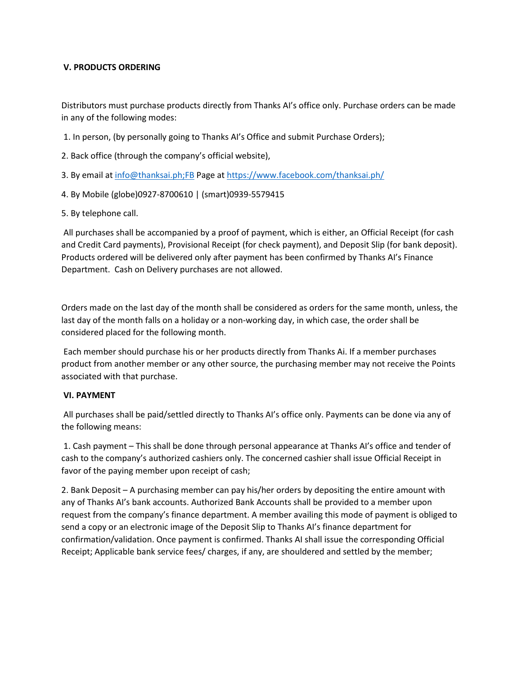## **V. PRODUCTS ORDERING**

Distributors must purchase products directly from Thanks AI's office only. Purchase orders can be made in any of the following modes:

- 1. In person, (by personally going to Thanks AI's Office and submit Purchase Orders);
- 2. Back office (through the company's official website),
- 3. By email at [info@thanksai.ph;FB](mailto:info@thanksai.ph;FB) Page at <https://www.facebook.com/thanksai.ph/>
- 4. By Mobile (globe)0927-8700610 | (smart)0939-5579415
- 5. By telephone call.

All purchases shall be accompanied by a proof of payment, which is either, an Official Receipt (for cash and Credit Card payments), Provisional Receipt (for check payment), and Deposit Slip (for bank deposit). Products ordered will be delivered only after payment has been confirmed by Thanks AI's Finance Department. Cash on Delivery purchases are not allowed.

Orders made on the last day of the month shall be considered as orders for the same month, unless, the last day of the month falls on a holiday or a non-working day, in which case, the order shall be considered placed for the following month.

Each member should purchase his or her products directly from Thanks Ai. If a member purchases product from another member or any other source, the purchasing member may not receive the Points associated with that purchase.

### **VI. PAYMENT**

All purchases shall be paid/settled directly to Thanks AI's office only. Payments can be done via any of the following means:

1. Cash payment – This shall be done through personal appearance at Thanks AI's office and tender of cash to the company's authorized cashiers only. The concerned cashier shall issue Official Receipt in favor of the paying member upon receipt of cash;

2. Bank Deposit – A purchasing member can pay his/her orders by depositing the entire amount with any of Thanks AI's bank accounts. Authorized Bank Accounts shall be provided to a member upon request from the company's finance department. A member availing this mode of payment is obliged to send a copy or an electronic image of the Deposit Slip to Thanks AI's finance department for confirmation/validation. Once payment is confirmed. Thanks AI shall issue the corresponding Official Receipt; Applicable bank service fees/ charges, if any, are shouldered and settled by the member;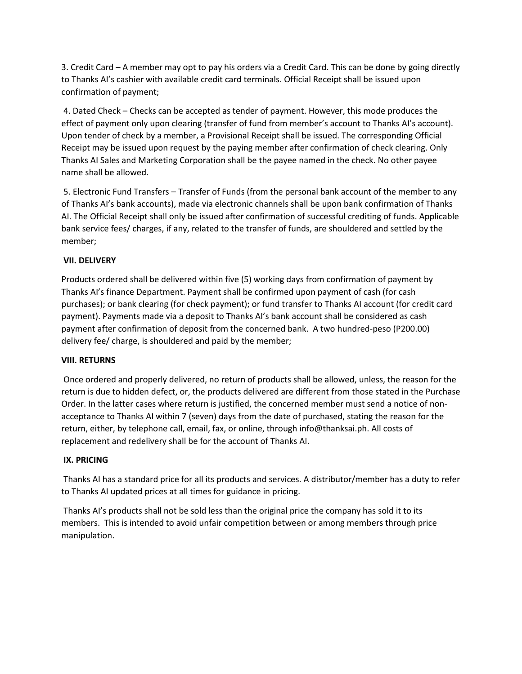3. Credit Card – A member may opt to pay his orders via a Credit Card. This can be done by going directly to Thanks AI's cashier with available credit card terminals. Official Receipt shall be issued upon confirmation of payment;

4. Dated Check – Checks can be accepted as tender of payment. However, this mode produces the effect of payment only upon clearing (transfer of fund from member's account to Thanks AI's account). Upon tender of check by a member, a Provisional Receipt shall be issued. The corresponding Official Receipt may be issued upon request by the paying member after confirmation of check clearing. Only Thanks AI Sales and Marketing Corporation shall be the payee named in the check. No other payee name shall be allowed.

5. Electronic Fund Transfers – Transfer of Funds (from the personal bank account of the member to any of Thanks AI's bank accounts), made via electronic channels shall be upon bank confirmation of Thanks AI. The Official Receipt shall only be issued after confirmation of successful crediting of funds. Applicable bank service fees/ charges, if any, related to the transfer of funds, are shouldered and settled by the member;

# **VII. DELIVERY**

Products ordered shall be delivered within five (5) working days from confirmation of payment by Thanks AI's finance Department. Payment shall be confirmed upon payment of cash (for cash purchases); or bank clearing (for check payment); or fund transfer to Thanks AI account (for credit card payment). Payments made via a deposit to Thanks AI's bank account shall be considered as cash payment after confirmation of deposit from the concerned bank. A two hundred-peso (P200.00) delivery fee/ charge, is shouldered and paid by the member;

### **VIII. RETURNS**

Once ordered and properly delivered, no return of products shall be allowed, unless, the reason for the return is due to hidden defect, or, the products delivered are different from those stated in the Purchase Order. In the latter cases where return is justified, the concerned member must send a notice of nonacceptance to Thanks AI within 7 (seven) days from the date of purchased, stating the reason for the return, either, by telephone call, email, fax, or online, through info@thanksai.ph. All costs of replacement and redelivery shall be for the account of Thanks AI.

### **IX. PRICING**

Thanks AI has a standard price for all its products and services. A distributor/member has a duty to refer to Thanks AI updated prices at all times for guidance in pricing.

Thanks AI's products shall not be sold less than the original price the company has sold it to its members. This is intended to avoid unfair competition between or among members through price manipulation.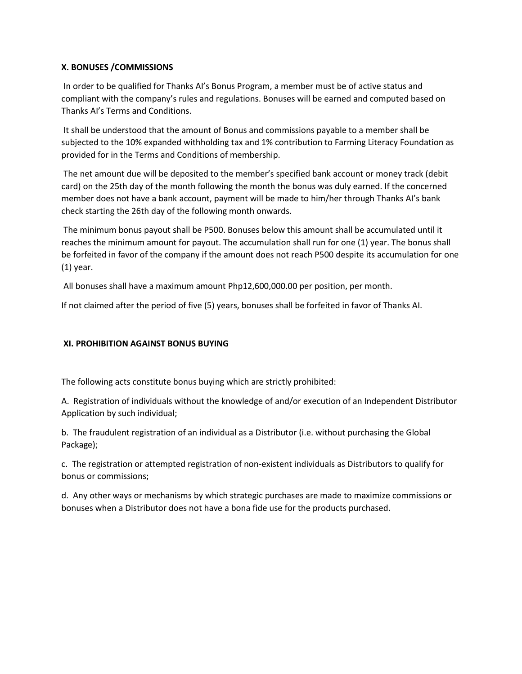## **X. BONUSES /COMMISSIONS**

In order to be qualified for Thanks AI's Bonus Program, a member must be of active status and compliant with the company's rules and regulations. Bonuses will be earned and computed based on Thanks AI's Terms and Conditions.

It shall be understood that the amount of Bonus and commissions payable to a member shall be subjected to the 10% expanded withholding tax and 1% contribution to Farming Literacy Foundation as provided for in the Terms and Conditions of membership.

The net amount due will be deposited to the member's specified bank account or money track (debit card) on the 25th day of the month following the month the bonus was duly earned. If the concerned member does not have a bank account, payment will be made to him/her through Thanks AI's bank check starting the 26th day of the following month onwards.

The minimum bonus payout shall be P500. Bonuses below this amount shall be accumulated until it reaches the minimum amount for payout. The accumulation shall run for one (1) year. The bonus shall be forfeited in favor of the company if the amount does not reach P500 despite its accumulation for one (1) year.

All bonuses shall have a maximum amount Php12,600,000.00 per position, per month.

If not claimed after the period of five (5) years, bonuses shall be forfeited in favor of Thanks AI.

# **XI. PROHIBITION AGAINST BONUS BUYING**

The following acts constitute bonus buying which are strictly prohibited:

A. Registration of individuals without the knowledge of and/or execution of an Independent Distributor Application by such individual;

b. The fraudulent registration of an individual as a Distributor (i.e. without purchasing the Global Package);

c. The registration or attempted registration of non-existent individuals as Distributors to qualify for bonus or commissions;

d. Any other ways or mechanisms by which strategic purchases are made to maximize commissions or bonuses when a Distributor does not have a bona fide use for the products purchased.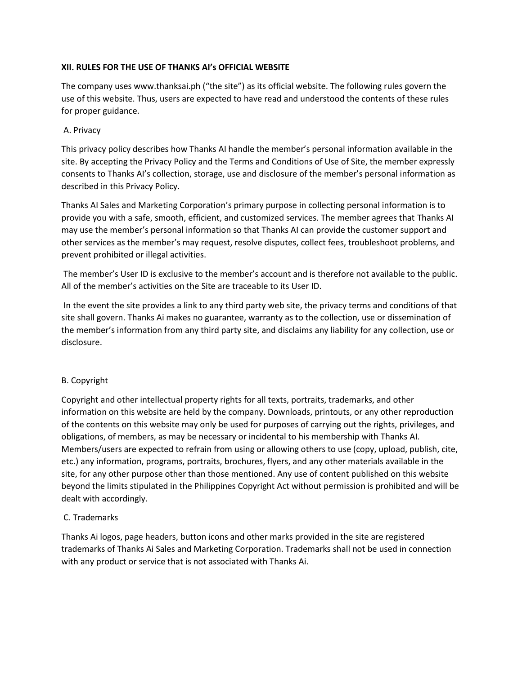## **XII. RULES FOR THE USE OF THANKS AI's OFFICIAL WEBSITE**

The company uses www.thanksai.ph ("the site") as its official website. The following rules govern the use of this website. Thus, users are expected to have read and understood the contents of these rules for proper guidance.

## A. Privacy

This privacy policy describes how Thanks AI handle the member's personal information available in the site. By accepting the Privacy Policy and the Terms and Conditions of Use of Site, the member expressly consents to Thanks AI's collection, storage, use and disclosure of the member's personal information as described in this Privacy Policy.

Thanks AI Sales and Marketing Corporation's primary purpose in collecting personal information is to provide you with a safe, smooth, efficient, and customized services. The member agrees that Thanks AI may use the member's personal information so that Thanks AI can provide the customer support and other services as the member's may request, resolve disputes, collect fees, troubleshoot problems, and prevent prohibited or illegal activities.

The member's User ID is exclusive to the member's account and is therefore not available to the public. All of the member's activities on the Site are traceable to its User ID.

In the event the site provides a link to any third party web site, the privacy terms and conditions of that site shall govern. Thanks Ai makes no guarantee, warranty as to the collection, use or dissemination of the member's information from any third party site, and disclaims any liability for any collection, use or disclosure.

### B. Copyright

Copyright and other intellectual property rights for all texts, portraits, trademarks, and other information on this website are held by the company. Downloads, printouts, or any other reproduction of the contents on this website may only be used for purposes of carrying out the rights, privileges, and obligations, of members, as may be necessary or incidental to his membership with Thanks AI. Members/users are expected to refrain from using or allowing others to use (copy, upload, publish, cite, etc.) any information, programs, portraits, brochures, flyers, and any other materials available in the site, for any other purpose other than those mentioned. Any use of content published on this website beyond the limits stipulated in the Philippines Copyright Act without permission is prohibited and will be dealt with accordingly.

# C. Trademarks

Thanks Ai logos, page headers, button icons and other marks provided in the site are registered trademarks of Thanks Ai Sales and Marketing Corporation. Trademarks shall not be used in connection with any product or service that is not associated with Thanks Ai.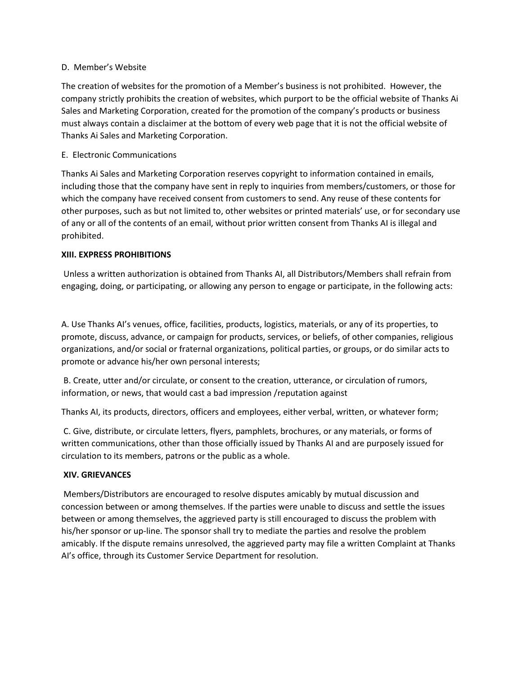### D. Member's Website

The creation of websites for the promotion of a Member's business is not prohibited. However, the company strictly prohibits the creation of websites, which purport to be the official website of Thanks Ai Sales and Marketing Corporation, created for the promotion of the company's products or business must always contain a disclaimer at the bottom of every web page that it is not the official website of Thanks Ai Sales and Marketing Corporation.

### E. Electronic Communications

Thanks Ai Sales and Marketing Corporation reserves copyright to information contained in emails, including those that the company have sent in reply to inquiries from members/customers, or those for which the company have received consent from customers to send. Any reuse of these contents for other purposes, such as but not limited to, other websites or printed materials' use, or for secondary use of any or all of the contents of an email, without prior written consent from Thanks AI is illegal and prohibited.

### **XIII. EXPRESS PROHIBITIONS**

Unless a written authorization is obtained from Thanks AI, all Distributors/Members shall refrain from engaging, doing, or participating, or allowing any person to engage or participate, in the following acts:

A. Use Thanks AI's venues, office, facilities, products, logistics, materials, or any of its properties, to promote, discuss, advance, or campaign for products, services, or beliefs, of other companies, religious organizations, and/or social or fraternal organizations, political parties, or groups, or do similar acts to promote or advance his/her own personal interests;

B. Create, utter and/or circulate, or consent to the creation, utterance, or circulation of rumors, information, or news, that would cast a bad impression /reputation against

Thanks AI, its products, directors, officers and employees, either verbal, written, or whatever form;

C. Give, distribute, or circulate letters, flyers, pamphlets, brochures, or any materials, or forms of written communications, other than those officially issued by Thanks AI and are purposely issued for circulation to its members, patrons or the public as a whole.

### **XIV. GRIEVANCES**

Members/Distributors are encouraged to resolve disputes amicably by mutual discussion and concession between or among themselves. If the parties were unable to discuss and settle the issues between or among themselves, the aggrieved party is still encouraged to discuss the problem with his/her sponsor or up-line. The sponsor shall try to mediate the parties and resolve the problem amicably. If the dispute remains unresolved, the aggrieved party may file a written Complaint at Thanks AI's office, through its Customer Service Department for resolution.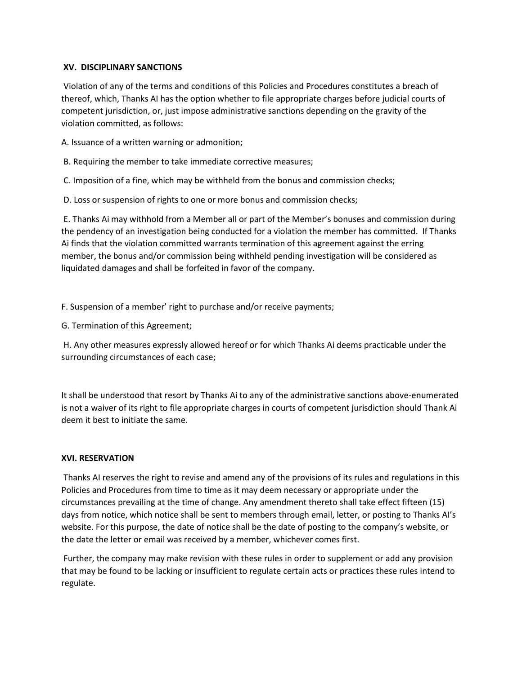### **XV. DISCIPLINARY SANCTIONS**

Violation of any of the terms and conditions of this Policies and Procedures constitutes a breach of thereof, which, Thanks AI has the option whether to file appropriate charges before judicial courts of competent jurisdiction, or, just impose administrative sanctions depending on the gravity of the violation committed, as follows:

A. Issuance of a written warning or admonition;

B. Requiring the member to take immediate corrective measures;

C. Imposition of a fine, which may be withheld from the bonus and commission checks;

D. Loss or suspension of rights to one or more bonus and commission checks;

E. Thanks Ai may withhold from a Member all or part of the Member's bonuses and commission during the pendency of an investigation being conducted for a violation the member has committed. If Thanks Ai finds that the violation committed warrants termination of this agreement against the erring member, the bonus and/or commission being withheld pending investigation will be considered as liquidated damages and shall be forfeited in favor of the company.

F. Suspension of a member' right to purchase and/or receive payments;

G. Termination of this Agreement;

H. Any other measures expressly allowed hereof or for which Thanks Ai deems practicable under the surrounding circumstances of each case;

It shall be understood that resort by Thanks Ai to any of the administrative sanctions above-enumerated is not a waiver of its right to file appropriate charges in courts of competent jurisdiction should Thank Ai deem it best to initiate the same.

### **XVI. RESERVATION**

Thanks AI reserves the right to revise and amend any of the provisions of its rules and regulations in this Policies and Procedures from time to time as it may deem necessary or appropriate under the circumstances prevailing at the time of change. Any amendment thereto shall take effect fifteen (15) days from notice, which notice shall be sent to members through email, letter, or posting to Thanks AI's website. For this purpose, the date of notice shall be the date of posting to the company's website, or the date the letter or email was received by a member, whichever comes first.

Further, the company may make revision with these rules in order to supplement or add any provision that may be found to be lacking or insufficient to regulate certain acts or practices these rules intend to regulate.